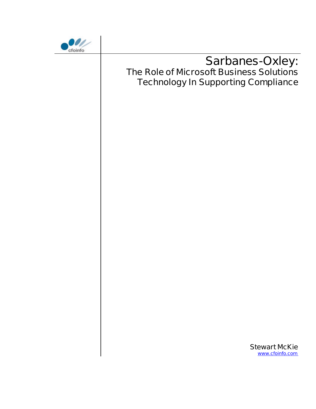

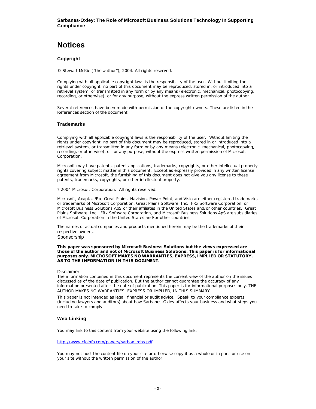# **Notices**

#### **Copyright**

© Stewart McKie ("the author"), 2004. All rights reserved.

Complying with all applicable copyright laws is the responsibility of the user. Without limiting the rights under copyright, no part of this document may be reproduced, stored in, or introduced into a retrieval system, or transm itted in any form or by any means (electronic, mechanical, photocopying, recording, or otherwise), or for any purpose, without the express written permission of the author.

Several references have been made with permission of the copyright owners. These are listed in the References section of the document.

#### **Trademarks**

Complying with all applicable copyright laws is the responsibility of the user. Without limiting the rights under copyright, no part of this document may be reproduced, stored in or introduced into a retrieval system, or transmitted in any form or by any means (electronic, mechanical, photocopying, recording, or otherwise), or for any purpose, without the express written permission of Microsoft Corporation.

Microsoft may have patents, patent applications, trademarks, copyrights, or other intellectual property rights covering subject matter in this document. Except as expressly provided in any written license agreement from Microsoft, the furnishing of this document does not give you any license to these patents, trademarks, copyrights, or other intellectual property.

? 2004 Microsoft Corporation. All rights reserved.

Microsoft, Axapta, FRx, Great Plains, Navision, Power Point, and Visio are either registered trademarks or trademarks of Microsoft Corporation, Great Plains Software, Inc., FRx Software Corporation, or Microsoft Business Solutions ApS or their affiliates in the United States and/or other countries. Great Plains Software, Inc., FRx Software Corporation, and Microsoft Business Solutions ApS are subsidiaries of Microsoft Corporation in the United States and/or other countries.

The names of actual companies and products mentioned herein may be the trademarks of their respective owners.

Sponsorship

**This paper was sponsored by Microsoft Business Solutions but the views expressed are those of the author and not of Microsoft Business Solutions. This paper is for informational purposes only. MICROSOFT MAKES NO WARRANTIES, EXPRESS, IMPLIED OR STATUTORY, AS TO THE INFORMATION IN THIS DOCUMENT.**

#### Disclaimer

The information contained in this document represents the current view of the author on the issues discussed as of the date of publication. But the author cannot guarantee the accuracy of any information presented afte r the date of publication. This paper is for informational purposes only. THE AUTHOR MAKES NO WARRANTIES, EXPRESS OR IMPLIED, IN THIS SUMMARY.

This paper is not intended as legal, financial or audit advice. Speak to your compliance experts (including lawyers and auditors) about how Sarbanes-Oxley affects your business and what steps you need to take to comply.

#### **Web Linking**

You may link to this content from your website using the following link:

#### http://www.cfoinfo.com/papers/sarbox\_mbs.pdf

You may not host the content file on your site or otherwise copy it as a whole or in part for use on your site without the written permission of the author.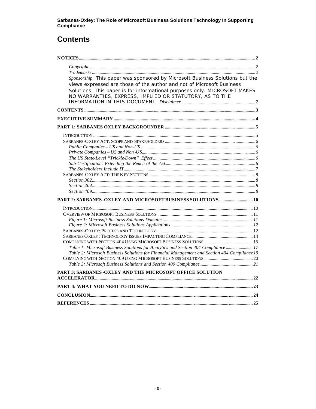# **Contents**

| Sponsorship This paper was sponsored by Microsoft Business Solutions but the<br>views expressed are those of the author and not of Microsoft Business |     |
|-------------------------------------------------------------------------------------------------------------------------------------------------------|-----|
| Solutions. This paper is for informational purposes only. MICROSOFT MAKES<br>NO WARRANTIES, EXPRESS, IMPLIED OR STATUTORY, AS TO THE                  |     |
|                                                                                                                                                       |     |
|                                                                                                                                                       |     |
|                                                                                                                                                       |     |
|                                                                                                                                                       |     |
|                                                                                                                                                       |     |
|                                                                                                                                                       |     |
|                                                                                                                                                       |     |
|                                                                                                                                                       |     |
|                                                                                                                                                       |     |
|                                                                                                                                                       |     |
|                                                                                                                                                       |     |
|                                                                                                                                                       |     |
|                                                                                                                                                       |     |
|                                                                                                                                                       |     |
|                                                                                                                                                       |     |
|                                                                                                                                                       |     |
|                                                                                                                                                       |     |
|                                                                                                                                                       |     |
|                                                                                                                                                       |     |
|                                                                                                                                                       |     |
|                                                                                                                                                       |     |
|                                                                                                                                                       |     |
|                                                                                                                                                       |     |
| Table 1: Microsoft Business Solutions for Analytics and Section 404 Compliance  17                                                                    |     |
| Table 2: Microsoft Business Solutions for Financial Management and Section 404 Compliance 19                                                          |     |
|                                                                                                                                                       |     |
|                                                                                                                                                       |     |
| PART 3: SARBANES-OXLEY AND THE MICROSOFT OFFICE SOLUTION                                                                                              |     |
|                                                                                                                                                       |     |
|                                                                                                                                                       |     |
|                                                                                                                                                       |     |
| <b>REFERENCES</b>                                                                                                                                     | .25 |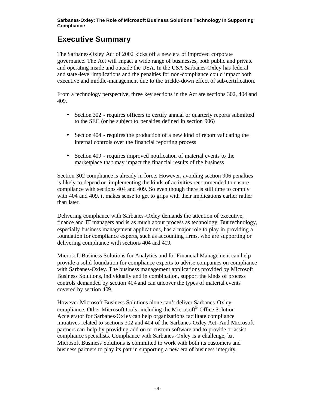# **Executive Summary**

The Sarbanes-Oxley Act of 2002 kicks off a new era of improved corporate governance. The Act will impact a wide range of businesses, both public and private and operating inside and outside the USA. In the USA Sarbanes-Oxley has federal and state -level implications and the penalties for non-compliance could impact both executive and middle-management due to the trickle-down effect of sub-certification.

From a technology perspective, three key sections in the Act are sections 302, 404 and 409.

- Section 302 requires officers to certify annual or quarterly reports submitted to the SEC (or be subject to penalties defined in section 906)
- Section 404 requires the production of a new kind of report validating the internal controls over the financial reporting process
- Section 409 requires improved notification of material events to the marketplace that may impact the financial results of the business

Section 302 compliance is already in force. However, avoiding section 906 penalties is likely to depend on implementing the kinds of activities recommended to ensure compliance with sections 404 and 409. So even though there is still time to comply with 404 and 409, it makes sense to get to grips with their implications earlier rather than later.

Delivering compliance with Sarbanes-Oxley demands the attention of executive, finance and IT managers and is as much about process as technology. But technology, especially business management applications, has a major role to play in providing a foundation for compliance experts, such as accounting firms, who are supporting or delivering compliance with sections 404 and 409.

Microsoft Business Solutions for Analytics and for Financial Management can help provide a solid foundation for compliance experts to advise companies on compliance with Sarbanes-Oxley. The business management applications provided by Microsoft Business Solutions, individually and in combination, support the kinds of process controls demanded by section 404 and can uncover the types of material events covered by section 409.

However Microsoft Business Solutions alone can't deliver Sarbanes-Oxley compliance. Other Microsoft tools, including the Microsoft® Office Solution Accelerator for Sarbanes-Oxley can help organizations facilitate compliance initiatives related to sections 302 and 404 of the Sarbanes-Oxley Act. And Microsoft partners can help by providing add-on or custom software and to provide or assist compliance specialists. Compliance with Sarbanes-Oxley is a challenge, but Microsoft Business Solutions is committed to work with both its customers and business partners to play its part in supporting a new era of business integrity.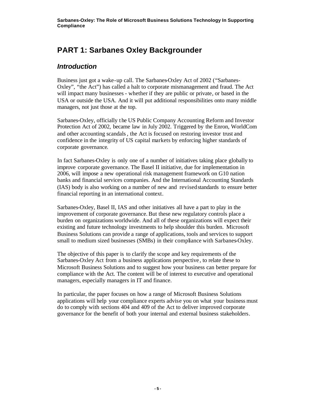# **PART 1: Sarbanes Oxley Backgrounder**

## *Introduction*

Business just got a wake-up call. The Sarbanes-Oxley Act of 2002 ("Sarbanes-Oxley", "the Act") has called a halt to corporate mismanagement and fraud. The Act will impact many businesses - whether if they are public or private, or based in the USA or outside the USA. And it will put additional responsibilities onto many middle managers, not just those at the top.

Sarbanes-Oxley, officially the US Public Company Accounting Reform and Investor Protection Act of 2002, became law in July 2002. Triggered by the Enron, WorldCom and other accounting scandals, the Act is focused on restoring investor trust and confidence in the integrity of US capital markets by enforcing higher standards of corporate governance.

In fact Sarbanes-Oxley is only one of a number of initiatives taking place globally to improve corporate governance. The Basel II initiative, due for implementation in 2006, will impose a new operational risk management framework on G10 nation banks and financial services companies. And the International Accounting Standards (IAS) body is also working on a number of new and revised standards to ensure better financial reporting in an international context.

Sarbanes-Oxley, Basel II, IAS and other initiatives all have a part to play in the improvement of corporate governance. But these new regulatory controls place a burden on organizations worldwide. And all of these organizations will expect their existing and future technology investments to help shoulder this burden. Microsoft Business Solutions can provide a range of applications, tools and services to support small to medium sized businesses (SMBs) in their compliance with Sarbanes-Oxley.

The objective of this paper is to clarify the scope and key requirements of the Sarbanes-Oxley Act from a business applications perspective , to relate these to Microsoft Business Solutions and to suggest how your business can better prepare for compliance with the Act. The content will be of interest to executive and operational managers, especially managers in IT and finance.

In particular, the paper focuses on how a range of Microsoft Business Solutions applications will help your compliance experts advise you on what your business must do to comply with sections 404 and 409 of the Act to deliver improved corporate governance for the benefit of both your internal and external business stakeholders.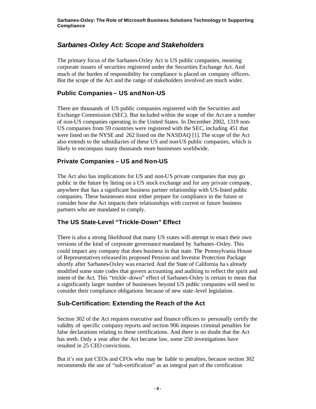## *Sarbanes-Oxley Act: Scope and Stakeholders*

The primary focus of the Sarbanes-Oxley Act is US public companies, meaning corporate issuers of securities registered under the Securities Exchange Act. And much of the burden of responsibility for compliance is placed on company officers. But the scope of the Act and the range of stakeholders involved are much wider.

### **Public Companies – US and Non-US**

There are thousands of US public companies registered with the Securities and Exchange Commission (SEC). But included within the scope of the Act are a number of non-US companies operating in the United States. In December 2002, 1319 non-US companies from 59 countries were registered with the SEC, including 451 that were listed on the NYSE and 262 listed on the NASDAQ [1]. The scope of the Act also extends to the subsidiaries of these US and non-US public companies, which is likely to encompass many thousands more businesses worldwide.

## **Private Companies – US and Non-US**

The Act also has implications for US and non-US private companies that may go public in the future by listing on a US stock exchange and for any private company, anywhere that has a significant business partner relationship with US-listed public companies. These businesses must either prepare for compliance in the future or consider how the Act impacts their relationships with current or future business partners who are mandated to comply.

### **The US State-Level "Trickle-Down" Effect**

There is also a strong likelihood that many US states will attempt to enact their own versions of the kind of corporate governance mandated by Sarbanes-Oxley. This could impact any company that does business in that state. The Pennsylvania House of Representatives released its proposed Pension and Investor Protection Package shortly after Sarbanes-Oxley was enacted And the State of California has already modified some state codes that govern accounting and auditing to reflect the spirit and intent of the Act. This "trickle -down" effect of Sarbanes-Oxley is certain to mean that a significantly larger number of businesses beyond US public companies will need to consider their compliance obligations because of new state -level legislation.

### **Sub-Certification: Extending the Reach of the Act**

Section 302 of the Act requires executive and finance officers to personally certify the validity of specific company reports and section 906 imposes criminal penalties for false declarations relating to these certifications. And there is no doubt that the Act has teeth. Only a year after the Act became law, some 250 investigations have resulted in 25 CEO convictions.

But it's not just CEOs and CFOs who may be liable to penalties, because section 302 recommends the use of "sub-certification" as an integral part of the certification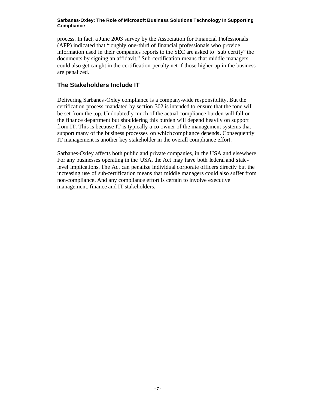process. In fact, a June 2003 survey by the Association for Financial Professionals (AFP) indicated that "roughly one-third of financial professionals who provide information used in their companies reports to the SEC are asked to "sub certify" the documents by signing an affidavit." Sub-certification means that middle managers could also get caught in the certification-penalty net if those higher up in the business are penalized.

### **The Stakeholders Include IT**

Delivering Sarbanes-Oxley compliance is a company-wide responsibility. But the certification process mandated by section 302 is intended to ensure that the tone will be set from the top. Undoubtedly much of the actual compliance burden will fall on the finance department but shouldering this burden will depend heavily on support from IT. This is because IT is typically a co-owner of the management systems that support many of the business processes on which compliance depends. Consequently IT management is another key stakeholder in the overall compliance effort.

Sarbanes-Oxley affects both public and private companies, in the USA and elsewhere. For any businesses operating in the USA, the Act may have both federal and statelevel implications. The Act can penalize individual corporate officers directly but the increasing use of sub-certification means that middle managers could also suffer from non-compliance. And any compliance effort is certain to involve executive management, finance and IT stakeholders.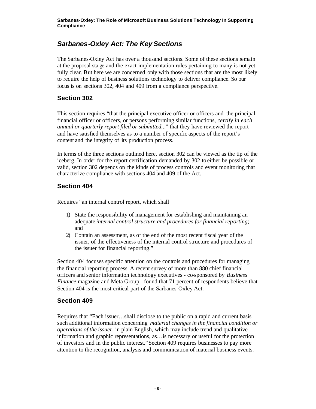## *Sarbanes-Oxley Act: The Key Sections*

The Sarbanes-Oxley Act has over a thousand sections. Some of these sections remain at the proposal sta ge and the exact implementation rules pertaining to many is not yet fully clear. But here we are concerned only with those sections that are the most likely to require the help of business solutions technology to deliver compliance. So our focus is on sections 302, 404 and 409 from a compliance perspective.

### **Section 302**

This section requires "that the principal executive officer or officers and the principal financial officer or officers, or persons performing similar functions, *certify in each annual or quarterly report filed or submitted...*" that they have reviewed the report and have satisfied themselves as to a number of specific aspects of the report's content and the integrity of its production process.

In terms of the three sections outlined here, section 302 can be viewed as the tip of the iceberg. In order for the report certification demanded by 302 to either be possible or valid, section 302 depends on the kinds of process controls and event monitoring that characterize compliance with sections 404 and 409 of the Act.

### **Section 404**

Requires "an internal control report, which shall

- 1) State the responsibility of management for establishing and maintaining an adequate *internal control structure and procedures for financial reporting*; and
- 2) Contain an assessment, as of the end of the most recent fiscal year of the issuer, of the effectiveness of the internal control structure and procedures of the issuer for financial reporting."

Section 404 focuses specific attention on the controls and procedures for managing the financial reporting process. A recent survey of more than 880 chief financial officers and senior information technology executives - co-sponsored by *Business Finance* magazine and Meta Group - found that 71 percent of respondents believe that Section 404 is the most critical part of the Sarbanes-Oxley Act.

### **Section 409**

Requires that "Each issuer…shall disclose to the public on a rapid and current basis such additional information concerning *material changes in the financial condition or operations of the issuer*, in plain English, which may include trend and qualitative information and graphic representations, as…is necessary or useful for the protection of investors and in the public interest."Section 409 requires businesses to pay more attention to the recognition, analysis and communication of material business events.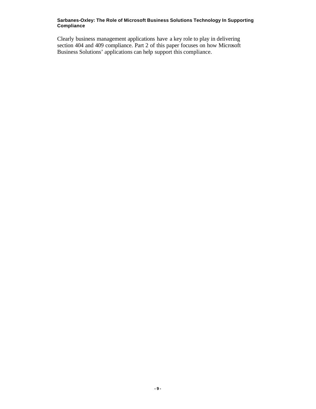Clearly business management applications have a key role to play in delivering section 404 and 409 compliance. Part 2 of this paper focuses on how Microsoft Business Solutions' applications can help support this compliance.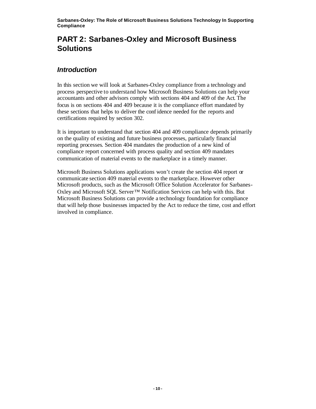# **PART 2: Sarbanes-Oxley and Microsoft Business Solutions**

## *Introduction*

In this section we will look at Sarbanes-Oxley compliance from a technology and process perspective to understand how Microsoft Business Solutions can help your accountants and other advisors comply with sections 404 and 409 of the Act. The focus is on sections 404 and 409 because it is the compliance effort mandated by these sections that helps to deliver the conf idence needed for the reports and certifications required by section 302.

It is important to understand that section 404 and 409 compliance depends primarily on the quality of existing and future business processes, particularly financial reporting processes. Section 404 mandates the production of a new kind of compliance report concerned with process quality and section 409 mandates communication of material events to the marketplace in a timely manner.

Microsoft Business Solutions applications won't create the section 404 report or communicate section 409 material events to the marketplace. However other Microsoft products, such as the Microsoft Office Solution Accelerator for Sarbanes-Oxley and Microsoft SQL Server™ Notification Services can help with this. But Microsoft Business Solutions can provide a technology foundation for compliance that will help those businesses impacted by the Act to reduce the time, cost and effort involved in compliance.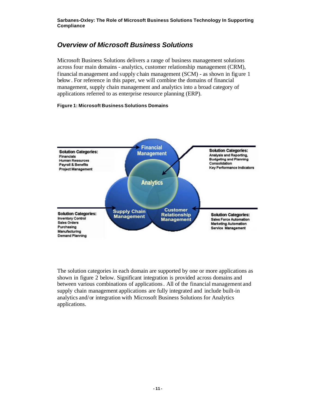## *Overview of Microsoft Business Solutions*

Microsoft Business Solutions delivers a range of business management solutions across four main domains - analytics, customer relationship management (CRM), financial management and supply chain management (SCM) - as shown in figure 1 below . For reference in this paper, we will combine the domains of financial management, supply chain management and analytics into a broad category of applications referred to as enterprise resource planning (ERP).

### **Figure 1: Microsoft Business Solutions Domains**



The solution categories in each domain are supported by one or more applications as shown in figure 2 below. Significant integration is provided across domains and between various combinations of applications. All of the financial management and supply chain management applications are fully integrated and include built-in analytics and/or integration with Microsoft Business Solutions for Analytics applications.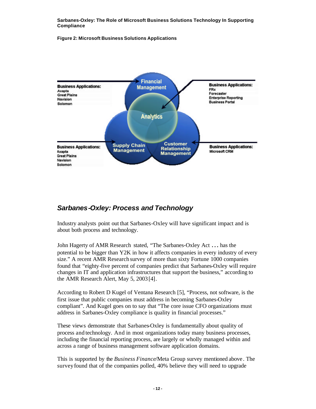### **Figure 2: Microsoft Business Solutions Applications**



## *Sarbanes-Oxley: Process and Technology*

Industry analysts point out that Sarbanes-Oxley will have significant impact and is about both process and technology.

John Hagerty of AMR Research stated, "The Sarbanes-Oxley Act … has the potential to be bigger than Y2K in how it affects companies in every industry of every size." A recent AMR Research survey of more than sixty Fortune 1000 companies found that "eighty-five percent of companies predict that Sarbanes-Oxley will require changes in IT and application infrastructures that support the business," according to the AMR Research Alert, May 5, 2003 [4].

According to Robert D Kugel of Ventana Research [5], "Process, not software, is the first issue that public companies must address in becoming Sarbanes-Oxley compliant". And Kugel goes on to say that "The core issue CFO organizations must address in Sarbanes-Oxley compliance is quality in financial processes."

These views demonstrate that Sarbanes-Oxley is fundamentally about quality of process and technology. And in most organizations today many business processes, including the financial reporting process, are largely or wholly managed within and across a range of business management software application domains.

This is supported by the *Business Finance*/Meta Group survey mentioned above . The survey found that of the companies polled, 40% believe they will need to upgrade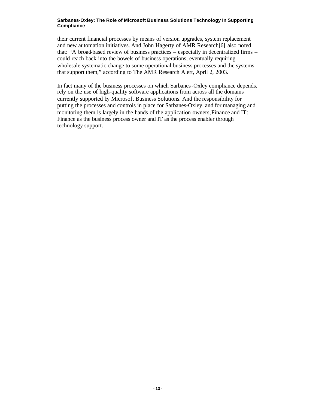their current financial processes by means of version upgrades, system replacement and new automation initiatives. And John Hagerty of AMR Research [6] also noted that: "A broad-based review of business practices – especially in decentralized firms – could reach back into the bowels of business operations, eventually requiring wholesale systematic change to some operational business processes and the systems that support them," according to The AMR Research Alert, April 2, 2003.

In fact many of the business processes on which Sarbanes-Oxley compliance depends, rely on the use of high-quality software applications from across all the domains currently supported by Microsoft Business Solutions. And the responsibility for putting the processes and controls in place for Sarbanes-Oxley, and for managing and monitoring them is largely in the hands of the application owners, Finance and IT: Finance as the business process owner and IT as the process enabler through technology support.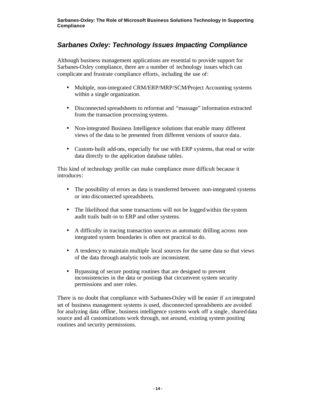## *Sarbanes Oxley: Technology Issues Impacting Compliance*

Although business management applications are essential to provide support for Sarbanes-Oxley compliance, there are a number of technology issues which can complicate and frustrate compliance efforts, including the use of:

- Multiple, non-integrated CRM/ERP/MRP/SCM/Project Accounting systems within a single organization.
- Disconnected spreadsheets to reformat and "massage" information extracted from the transaction processing systems.
- Non-integrated Business Intelligence solutions that enable many different views of the data to be presented from different versions of source data.
- Custom-built add-ons, especially for use with ERP systems, that read or write data directly to the application database tables.

This kind of technology profile can make compliance more difficult because it introduces:

- The possibility of errors as data is transferred between non-integrated systems or into disconnected spreadsheets.
- The likelihood that some transactions will not be logged within the system audit trails built-in to ERP and other systems.
- A difficulty in tracing transaction sources as automatic drilling across nonintegrated system boundaries is often not practical to do.
- A tendency to maintain multiple local sources for the same data so that views of the data through analytic tools are inconsistent.
- Bypassing of secure posting routines that are designed to prevent inconsistencies in the data or postings that circumvent system security permissions and user roles.

There is no doubt that compliance with Sarbanes-Oxley will be easier if an integrated set of business management systems is used, disconnected spreadsheets are avoided for analyzing data offline, business intelligence systems work off a single , shared data source and all customizations work through, not around, existing system positing routines and security permissions.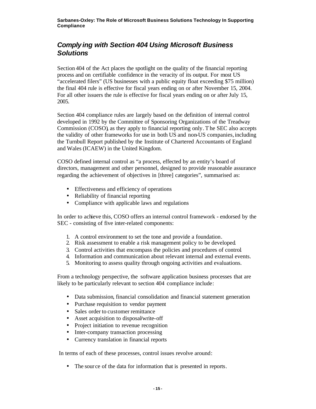## *Complying with Section 404 Using Microsoft Business Solutions*

Section 404 of the Act places the spotlight on the quality of the financial reporting process and on certifiable confidence in the veracity of its output. For most US "accelerated filers" (US businesses with a public equity float exceeding \$75 million) the final 404 rule is effective for fiscal years ending on or after November 15, 2004. For all other issuers the rule is effective for fiscal years ending on or after July 15, 2005.

Section 404 compliance rules are largely based on the definition of internal control developed in 1992 by the Committee of Sponsoring Organizations of the Treadway Commission (COSO), as they apply to financial reporting only. T he SEC also accepts the validity of other frameworks for use in both US and non-US companies, including the Turnbull Report published by the Institute of Chartered Accountants of England and Wales (ICAEW) in the United Kingdom.

COSO defined internal control as "a process, effected by an entity's board of directors, management and other personnel, designed to provide reasonable assurance regarding the achievement of objectives in [three] categories", summarised as:

- Effectiveness and efficiency of operations
- Reliability of financial reporting
- Compliance with applicable laws and regulations

In order to achieve this, COSO offers an internal control framework - endorsed by the SEC - consisting of five inter-related components:

- 1. A control environment to set the tone and provide a foundation.
- 2. Risk assessment to enable a risk management policy to be developed.
- 3. Control activities that encompass the policies and procedures of control.
- 4. Information and communication about relevant internal and external events.
- 5. Monitoring to assess quality through ongoing activities and evaluations.

From a technology perspective, the software application business processes that are likely to be particularly relevant to section 404 compliance include:

- Data submission, financial consolidation and financial statement generation
- Purchase requisition to vendor payment
- Sales order to customer remittance
- Asset acquisition to disposal write-off
- Project initiation to revenue recognition
- Inter-company transaction processing
- Currency translation in financial reports

In terms of each of these processes, control issues revolve around:

• The source of the data for information that is presented in reports.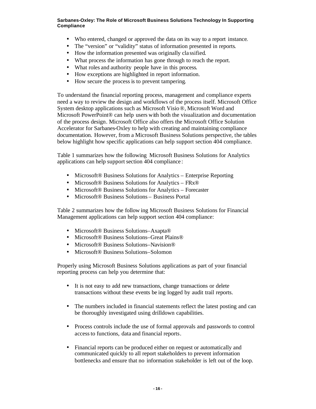- Who entered, changed or approved the data on its way to a report instance.
- The "version" or "validity" status of information presented in reports.
- How the information presented was originally cla ssified.
- What process the information has gone through to reach the report.
- What roles and authority people have in this process.
- How exceptions are highlighted in report information.
- How secure the process is to prevent tampering.

To understand the financial reporting process, management and compliance experts need a way to review the design and workflows of the process itself. Microsoft Office System desktop applications such as Microsoft Visio®, Microsoft Word and Microsoft PowerPoint® can help users with both the visualization and documentation of the process design. Microsoft Office also offers the Microsoft Office Solution Accelerator for Sarbanes-Oxley to help with creating and maintaining compliance documentation. However, from a Microsoft Business Solutions perspective, the tables below highlight how specific applications can help support section 404 compliance.

Table 1 summarizes how the following Microsoft Business Solutions for Analytics applications can help support section 404 compliance :

- Microsoft<sup>®</sup> Business Solutions for Analytics Enterprise Reporting
- Microsoft<sup>®</sup> Business Solutions for Analytics FRx<sup>®</sup>
- Microsoft® Business Solutions for Analytics Forecaster
- Microsoft<sup>®</sup> Business Solutions Business Portal

Table 2 summarizes how the follow ing Microsoft Business Solutions for Financial Management applications can help support section 404 compliance:

- Microsoft® Business Solutions–Axapta®
- Microsoft® Business Solutions–Great Plains®
- Microsoft® Business Solutions–Navision®
- Microsoft<sup>®</sup> Business Solutions–Solomon

Properly using Microsoft Business Solutions applications as part of your financial reporting process can help you determine that:

- It is not easy to add new transactions, change transactions or delete transactions without these events be ing logged by audit trail reports.
- The numbers included in financial statements reflect the latest posting and can be thoroughly investigated using drilldown capabilities.
- Process controls include the use of formal approvals and passwords to control access to functions, data and financial reports.
- Financial reports can be produced either on request or automatically and communicated quickly to all report stakeholders to prevent information bottlenecks and ensure that no information stakeholder is left out of the loop.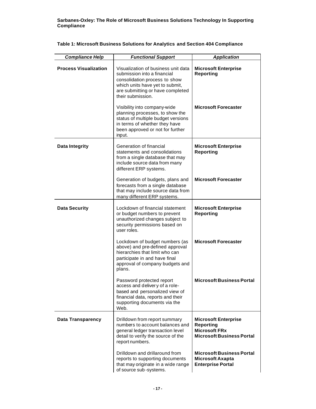| <b>Compliance Help</b>       | <b>Functional Support</b>                                                                                                                                                                       | <b>Application</b>                                                                                          |
|------------------------------|-------------------------------------------------------------------------------------------------------------------------------------------------------------------------------------------------|-------------------------------------------------------------------------------------------------------------|
| <b>Process Visualization</b> | Visualization of business unit data<br>submission into a financial<br>consolidation process to show<br>which units have yet to submit,<br>are submitting or have completed<br>their submission. | <b>Microsoft Enterprise</b><br><b>Reporting</b>                                                             |
|                              | Visibility into company-wide<br>planning processes, to show the<br>status of multiple budget versions<br>in terms of whether they have<br>been approved or not for further<br>input.            | <b>Microsoft Forecaster</b>                                                                                 |
| <b>Data Integrity</b>        | Generation of financial<br>statements and consolidations<br>from a single database that may<br>include source data from many<br>different ERP systems.                                          | <b>Microsoft Enterprise</b><br><b>Reporting</b>                                                             |
|                              | Generation of budgets, plans and<br>forecasts from a single database<br>that may include source data from<br>many different ERP systems.                                                        | <b>Microsoft Forecaster</b>                                                                                 |
| <b>Data Security</b>         | Lockdown of financial statement<br>or budget numbers to prevent<br>unauthorized changes subject to<br>security permissions based on<br>user roles.                                              | <b>Microsoft Enterprise</b><br><b>Reporting</b>                                                             |
|                              | Lockdown of budget numbers (as<br>above) and pre-defined approval<br>hierarchies that limit who can<br>participate in and have final<br>approval of company budgets and<br>plans.               | <b>Microsoft Forecaster</b>                                                                                 |
|                              | Password protected report<br>access and delivery of a role-<br>based and personalized view of<br>financial data, reports and their<br>supporting documents via the<br>Web.                      | <b>Microsoft Business Portal</b>                                                                            |
| <b>Data Transparency</b>     | Drilldown from report summary<br>numbers to account balances and<br>general ledger transaction level<br>detail to verify the source of the<br>report numbers.                                   | <b>Microsoft Enterprise</b><br><b>Reporting</b><br><b>Microsoft FRx</b><br><b>Microsoft Business Portal</b> |
|                              | Drilldown and drillaround from<br>reports to supporting documents<br>that may originate in a wide range<br>of source sub-systems.                                                               | <b>Microsoft Business Portal</b><br><b>Microsoft Axapta</b><br><b>Enterprise Portal</b>                     |

### **Table 1: Microsoft Business Solutions for Analytics and Section 404 Compliance**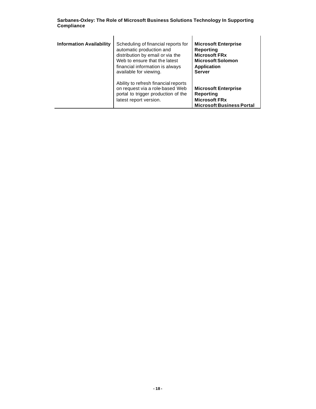|            | Sarbanes-Oxley: The Role of Microsoft Business Solutions Technology In Supporting |  |
|------------|-----------------------------------------------------------------------------------|--|
| Compliance |                                                                                   |  |

| <b>Information Availability</b> | Scheduling of financial reports for<br>automatic production and<br>distribution by email or via the<br>Web to ensure that the latest<br>financial information is always<br>available for viewing. | <b>Microsoft Enterprise</b><br><b>Reporting</b><br><b>Microsoft FRx</b><br><b>Microsoft Solomon</b><br><b>Application</b><br><b>Server</b> |
|---------------------------------|---------------------------------------------------------------------------------------------------------------------------------------------------------------------------------------------------|--------------------------------------------------------------------------------------------------------------------------------------------|
|                                 | Ability to refresh financial reports<br>on request via a role-based Web<br>portal to trigger production of the<br>latest report version.                                                          | <b>Microsoft Enterprise</b><br>Reporting<br><b>Microsoft FRx</b><br><b>Microsoft Business Portal</b>                                       |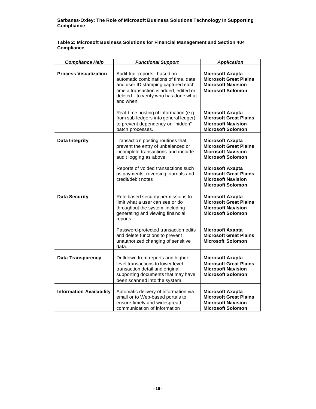**Table 2: Microsoft Business Solutions for Financial Management and Section 404 Compliance** 

| <b>Compliance Help</b>          | <b>Functional Support</b>                                                                                                                                                                                    | <b>Application</b>                                                                                                |
|---------------------------------|--------------------------------------------------------------------------------------------------------------------------------------------------------------------------------------------------------------|-------------------------------------------------------------------------------------------------------------------|
| <b>Process Visualization</b>    | Audit trail reports - based on<br>automatic combinations of time, date<br>and user ID stamping captured each<br>time a transaction is added, edited or<br>deleted - to verify who has done what<br>and when. | <b>Microsoft Axapta</b><br><b>Microsoft Great Plains</b><br><b>Microsoft Navision</b><br><b>Microsoft Solomon</b> |
|                                 | Real-time posting of information (e.g.<br>from sub-ledgers into general ledger)<br>to prevent dependency on "hidden"<br>batch processes.                                                                     | <b>Microsoft Axapta</b><br><b>Microsoft Great Plains</b><br><b>Microsoft Navision</b><br><b>Microsoft Solomon</b> |
| <b>Data Integrity</b>           | Transaction posting routines that<br>prevent the entry of unbalanced or<br>incomplete transactions and include<br>audit logging as above.                                                                    | <b>Microsoft Axapta</b><br><b>Microsoft Great Plains</b><br><b>Microsoft Navision</b><br><b>Microsoft Solomon</b> |
|                                 | Reports of voided transactions such<br>as payments, reversing journals and<br>credit/debit notes                                                                                                             | <b>Microsoft Axapta</b><br><b>Microsoft Great Plains</b><br><b>Microsoft Navision</b><br><b>Microsoft Solomon</b> |
| <b>Data Security</b>            | Role-based security permissions to<br>limit what a user can see or do<br>throughout the system including<br>generating and viewing fina ncial<br>reports.                                                    | <b>Microsoft Axapta</b><br><b>Microsoft Great Plains</b><br><b>Microsoft Navision</b><br><b>Microsoft Solomon</b> |
|                                 | Password-protected transaction edits<br>and delete functions to prevent<br>unauthorized changing of sensitive<br>data.                                                                                       | <b>Microsoft Axapta</b><br><b>Microsoft Great Plains</b><br><b>Microsoft Solomon</b>                              |
| <b>Data Transparency</b>        | Drilldown from reports and higher<br>level transactions to lower level<br>transaction detail and original<br>supporting documents that may have<br>been scanned into the system.                             | <b>Microsoft Axapta</b><br><b>Microsoft Great Plains</b><br><b>Microsoft Navision</b><br><b>Microsoft Solomon</b> |
| <b>Information Availability</b> | Automatic delivery of information via<br>email or to Web-based portals to<br>ensure timely and widespread<br>communication of information                                                                    | <b>Microsoft Axapta</b><br><b>Microsoft Great Plains</b><br><b>Microsoft Navision</b><br><b>Microsoft Solomon</b> |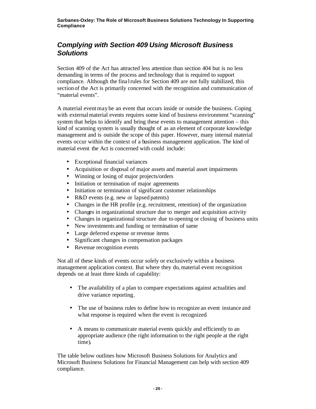## *Complying with Section 409 Using Microsoft Business Solutions*

Section 409 of the Act has attracted less attention than section 404 but is no less demanding in terms of the process and technology that is required to support compliance. Although the fina l rules for Section 409 are not fully stabilized, this section of the Act is primarily concerned with the recognition and communication of "material events".

A material eventmay be an event that occurs inside or outside the business. Coping with external material events requires some kind of business environment "scanning" system that helps to identify and bring these events to management attention – this kind of scanning system is usually thought of as an element of corporate knowledge management and is outside the scope of this paper. However, many internal material events occur within the context of a business management application. The kind of material event the Act is concerned with could include:

- Exceptional financial variances
- Acquisition or disposal of major assets and material asset impairments
- Winning or losing of major projects/orders
- Initiation or termination of major agreements
- Initiation or termination of significant customer relationships
- R&D events (e.g. new or lapsed patents)
- Changes in the HR profile (e.g. recruitment, retention) of the organization
- Changes in organizational structure due to merger and acquisition activity
- Changes in organizational structure due to opening or closing of business units
- New investments and funding or termination of same
- Large deferred expense or revenue items
- Significant changes in compensation packages
- Revenue recognition events

Not all of these kinds of events occur solely or exclusively within a business management application context. But where they do, material event recognition depends on at least three kinds of capability:

- The availability of a plan to compare expectations against actualities and drive variance reporting.
- The use of business rules to define how to recognize an event instance and what response is required when the event is recognized.
- A means to communicate material events quickly and efficiently to an appropriate audience (the right information to the right people at the right time).

The table below outlines how Microsoft Business Solutions for Analytics and Microsoft Business Solutions for Financial Management can help with section 409 compliance.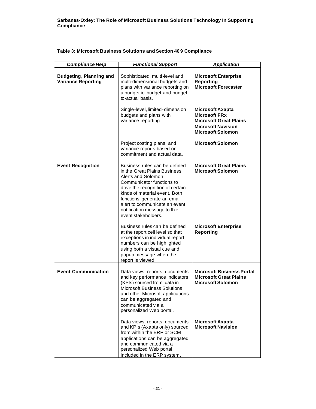| <b>Compliance Help</b>                                      | <b>Functional Support</b>                                                                                                                                                                                                                                                                                   | <b>Application</b>                                                                                                                        |
|-------------------------------------------------------------|-------------------------------------------------------------------------------------------------------------------------------------------------------------------------------------------------------------------------------------------------------------------------------------------------------------|-------------------------------------------------------------------------------------------------------------------------------------------|
| <b>Budgeting, Planning and</b><br><b>Variance Reporting</b> | Sophisticated, multi-level and<br>multi-dimensional budgets and<br>plans with variance reporting on<br>a budget-to-budget and budget-<br>to-actual basis.                                                                                                                                                   | <b>Microsoft Enterprise</b><br><b>Reporting</b><br><b>Microsoft Forecaster</b>                                                            |
|                                                             | Single-level, limited-dimension<br>budgets and plans with<br>variance reporting.                                                                                                                                                                                                                            | <b>Microsoft Axapta</b><br><b>Microsoft FRx</b><br><b>Microsoft Great Plains</b><br><b>Microsoft Navision</b><br><b>Microsoft Solomon</b> |
|                                                             | Project costing plans, and<br>variance reports based on<br>commitment and actual data.                                                                                                                                                                                                                      | <b>Microsoft Solomon</b>                                                                                                                  |
| <b>Event Recognition</b>                                    | Business rules can be defined<br>in the Great Plains Business<br>Alerts and Solomon<br>Communicator functions to<br>drive the recognition of certain<br>kinds of material event. Both<br>functions generate an email<br>alert to communicate an event<br>notification message to the<br>event stakeholders. | <b>Microsoft Great Plains</b><br><b>Microsoft Solomon</b>                                                                                 |
|                                                             | Business rules can be defined<br>at the report cell level so that<br>exceptions in individual report<br>numbers can be highlighted<br>using both a visual cue and<br>popup message when the<br>report is viewed.                                                                                            | <b>Microsoft Enterprise</b><br><b>Reporting</b>                                                                                           |
| <b>Event Communication</b>                                  | Data views, reports, documents<br>and key performance indicators<br>(KPIs) sourced from data in<br><b>Microsoft Business Solutions</b><br>and other Microsoft applications<br>can be aggregated and<br>communicated via a<br>personalized Web portal.                                                       | <b>Microsoft Business Portal</b><br><b>Microsoft Great Plains</b><br><b>Microsoft Solomon</b>                                             |
|                                                             | Data views, reports, documents<br>and KPIs (Axapta only) sourced<br>from within the ERP or SCM<br>applications can be aggregated<br>and communicated via a<br>personalized Web portal<br>included in the ERP system.                                                                                        | <b>Microsoft Axapta</b><br><b>Microsoft Navision</b>                                                                                      |

**Table 3: Microsoft Business Solutions and Section 40 9 Compliance**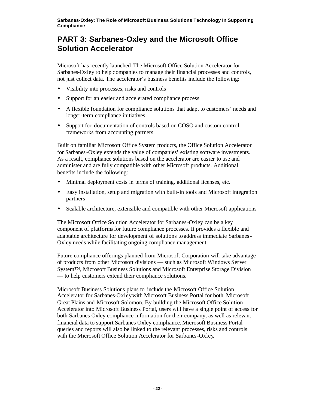# **PART 3: Sarbanes-Oxley and the Microsoft Office Solution Accelerator**

Microsoft has recently launched The Microsoft Office Solution Accelerator for Sarbanes-Oxley to help companies to manage their financial processes and controls, not just collect data. The accelerator's business benefits include the following:

- Visibility into processes, risks and controls
- Support for an easier and accelerated compliance process
- A flexible foundation for compliance solutions that adapt to customers' needs and longer-term compliance initiatives
- Support for documentation of controls based on COSO and custom control frameworks from accounting partners

Built on familiar Microsoft Office System products, the Office Solution Accelerator for Sarbanes-Oxley extends the value of companies' existing software investments. As a result, compliance solutions based on the accelerator are easier to use and administer and are fully compatible with other Microsoft products. Additional benefits include the following:

- Minimal deployment costs in terms of training, additional licenses, etc.
- Easy installation, setup and migration with built-in tools and Microsoft integration partners
- Scalable architecture, extensible and compatible with other Microsoft applications

The Microsoft Office Solution Accelerator for Sarbanes-Oxley can be a key component of platforms for future compliance processes. It provides a flexible and adaptable architecture for development of solutions to address immediate Sarbanes-Oxley needs while facilitating ongoing compliance management.

Future compliance offerings planned from Microsoft Corporation will take advantage of products from other Microsoft divisions — such as Microsoft Windows Server System™, Microsoft Business Solutions and Microsoft Enterprise Storage Division — to help customers extend their compliance solutions.

Microsoft Business Solutions plans to include the Microsoft Office Solution Accelerator for Sarbanes-Oxley with Microsoft Business Portal for both Microsoft Great Plains and Microsoft Solomon. By building the Microsoft Office Solution Accelerator into Microsoft Business Portal, users will have a single point of access for both Sarbanes Oxley compliance information for their company, as well as relevant financial data to support Sarbanes Oxley compliance. Microsoft Business Portal queries and reports will also be linked to the relevant processes, risks and controls with the Microsoft Office Solution Accelerator for Sarbanes-Oxley.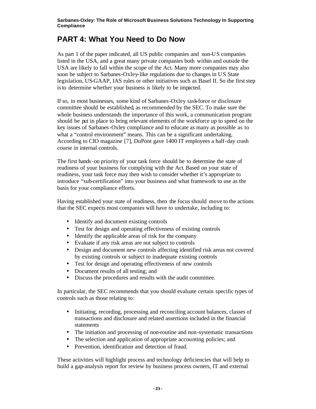## **PART 4: What You Need to Do Now**

As part 1 of the paper indicated, all US public companies and non-US companies listed in the USA, and a great many private companies both within and outside the USA are likely to fall within the scope of the Act. Many more companies may also soon be subject to Sarbanes-Oxley-like regulations due to changes in US State legislation, US-GAAP, IAS rules or other initiatives such as Basel II. So the first step is to determine whether your business is likely to be impacted.

If so, in most businesses, some kind of Sarbanes-Oxley task-force or disclosure committee should be established, as recommended by the SEC. To make sure the whole business understands the importance of this work, a communication program should be put in place to bring relevant elements of the workforce up to speed on the key issues of Sarbanes-Oxley compliance and to educate as many as possible as to what a "control environment" means. This can be a significant undertaking. According to CIO magazine [7], DuPont gave 1400 IT employees a half-day crash course in internal controls.

The first hands-on priority of your task force should be to determine the state of readiness of your business for complying with the Act. Based on your state of readiness, your task force may then wish to consider whether it's appropriate to introduce "sub-certification" into your business and what framework to use as the basis for your compliance efforts.

Having established your state of readiness, then the focus should move to the actions that the SEC expects most companies will have to undertake, including to:

- Identify and document existing controls
- Test for design and operating effectiveness of existing controls
- Identify the applicable areas of risk for the company
- Evaluate if any risk areas are not subject to controls
- Design and document new controls affecting identified risk areas not covered by existing controls or subject to inadequate existing controls
- Test for design and operating effectiveness of new controls
- Document results of all testing: and
- Discuss the procedures and results with the audit committee.

In particular, the SEC recommends that you should evaluate certain specific types of controls such as those relating to:

- Initiating, recording, processing and reconciling account balances, classes of transactions and disclosure and related assertions included in the financial statements
- The initiation and processing of non-routine and non-systematic transactions
- The selection and application of appropriate accounting policies; and
- Prevention, identification and detection of fraud.

These activities will highlight process and technology deficiencies that will help to build a gap-analysis report for review by business process owners, IT and external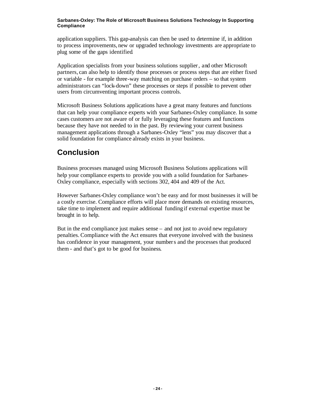application suppliers. This gap-analysis can then be used to determine if, in addition to process improvements, new or upgraded technology investments are appropriate to plug some of the gaps identified.

Application specialists from your business solutions supplier, and other Microsoft partners, can also help to identify those processes or process steps that are either fixed or variable - for example three-way matching on purchase orders – so that system administrators can "lock-down" these processes or steps if possible to prevent other users from circumventing important process controls.

Microsoft Business Solutions applications have a great many features and functions that can help your compliance experts with your Sarbanes-Oxley compliance. In some cases customers are not aware of or fully leveraging these features and functions because they have not needed to in the past. By reviewing your current business management applications through a Sarbanes-Oxley "lens" you may discover that a solid foundation for compliance already exists in your business.

# **Conclusion**

Business processes managed using Microsoft Business Solutions applications will help your compliance experts to provide you with a solid foundation for Sarbanes-Oxley compliance, especially with sections 302, 404 and 409 of the Act.

However Sarbanes-Oxley compliance won't be easy and for most businesses it will be a costly exercise. Compliance efforts will place more demands on existing resources, take time to implement and require additional funding if external expertise must be brought in to help.

But in the end compliance just makes sense – and not just to avoid new regulatory penalties. Compliance with the Act ensures that everyone involved with the business has confidence in your management, your numbers and the processes that produced them - and that's got to be good for business.